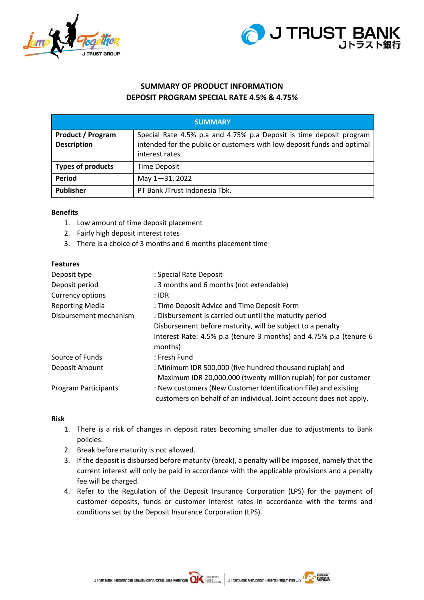



## **SUMMARY OF PRODUCT INFORMATION DEPOSIT PROGRAM SPECIAL RATE 4.5% & 4.75%**

| <b>SUMMARY</b>                                 |                                                                                                                                                                   |  |
|------------------------------------------------|-------------------------------------------------------------------------------------------------------------------------------------------------------------------|--|
| <b>Product / Program</b><br><b>Description</b> | Special Rate 4.5% p.a and 4.75% p.a Deposit is time deposit program<br>intended for the public or customers with low deposit funds and optimal<br>interest rates. |  |
| <b>Types of products</b>                       | <b>Time Deposit</b>                                                                                                                                               |  |
| Period                                         | May 1-31, 2022                                                                                                                                                    |  |
| <b>Publisher</b>                               | PT Bank JTrust Indonesia Tbk.                                                                                                                                     |  |

#### **Benefits**

- 1. Low amount of time deposit placement
- 2. Fairly high deposit interest rates
- 3. There is a choice of 3 months and 6 months placement time

#### **Features**

| Deposit type                | : Special Rate Deposit                                              |
|-----------------------------|---------------------------------------------------------------------|
| Deposit period              | : 3 months and 6 months (not extendable)                            |
| Currency options            | $:$ IDR                                                             |
| <b>Reporting Media</b>      | : Time Deposit Advice and Time Deposit Form                         |
| Disbursement mechanism      | : Disbursement is carried out until the maturity period             |
|                             | Disbursement before maturity, will be subject to a penalty          |
|                             | Interest Rate: 4.5% p.a (tenure 3 months) and 4.75% p.a (tenure 6   |
|                             | months)                                                             |
| Source of Funds             | : Fresh Fund                                                        |
| Deposit Amount              | : Minimum IDR 500,000 (five hundred thousand rupiah) and            |
|                             | Maximum IDR 20,000,000 (twenty million rupiah) for per customer     |
| <b>Program Participants</b> | : New customers (New Customer Identification File) and existing     |
|                             | customers on behalf of an individual. Joint account does not apply. |

## **Risk**

- 1. There is a risk of changes in deposit rates becoming smaller due to adjustments to Bank policies.
- 2. Break before maturity is not allowed.
- 3. If the deposit is disbursed before maturity (break), a penalty will be imposed, namely that the current interest will only be paid in accordance with the applicable provisions and a penalty fee will be charged.
- 4. Refer to the Regulation of the Deposit Insurance Corporation (LPS) for the payment of customer deposits, funds or customer interest rates in accordance with the terms and conditions set by the Deposit Insurance Corporation (LPS).